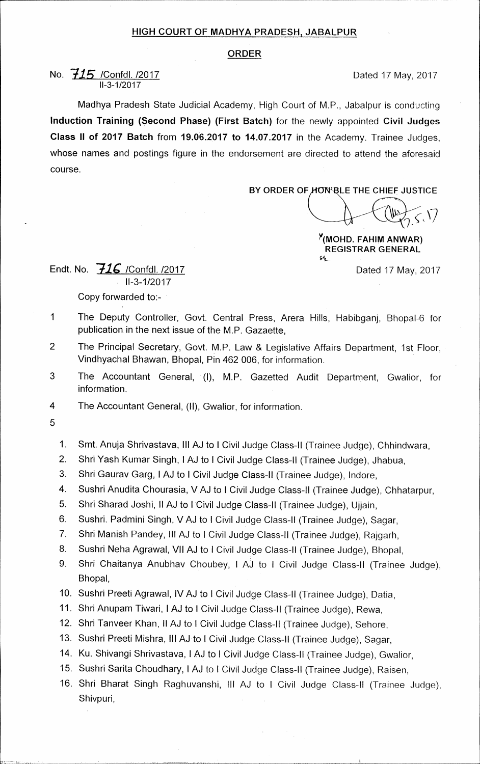## **HIGH COURT OF MADHYA PRADESH, JABALPUR**

## **ORDER**

## **No.**  $715$  /Confdl. /2017 11-3-1/2017

Madhya Pradesh State Judicial Academy, High Court of M.P., Jabalpur is conducting **Induction Training (Second Phase) (First Batch)** for the newly appointed **Civil Judges Class II of 2017 Batch** from **19.06.2017 to 14.07.2017** in the Academy. Trainee Judges, whose names and postings figure in the endorsement are directed to attend the aforesaid course.

**BY ORDER OF HON'BLE THE CHIEF JUSTICE** 

**Y(MOHD. FAHIIV1 ANWAR) REGISTRAR GENERAL op\_** 

Dated 17 May, 2017

Endt. No. *71C* /Confdl. /2017 11-3-1/2017 Copy forwarded to:-

- 1 The Deputy Controller, Govt. Central Press, Arera Hills, Habibganj, Bhopal-6 for publication in the next issue of the M.P. Gazaette,
- 2 The Principal Secretary, Govt. M.P. Law & Legislative Affairs Department, 1st Floor, Vindhyachal Bhawan, Bhopal, Pin 462 006, for information.
- 3 The Accountant General, (I), M.P. Gazetted Audit Department, Gwalior, for information.
- 4 The Accountant General, (II), Gwalior, for information.
- 5
- 1. Smt. Anuja Shrivastava, Ill AJ to I Civil Judge Class-II (Trainee Judge), Chhindwara,
- 2. Shri Yash Kumar Singh, I AJ to I Civil Judge Class-II (Trainee Judge), Jhabua,
- 3. Shri Gaurav Garg, I AJ to I Civil Judge Class-II (Trainee Judge), Indore,
- 4. Sushri Anudita Chourasia, V AJ to I Civil Judge Class-II (Trainee Judge), Chhatarpur,
- 5. Shri Sharad Josh', II AJ to I Civil Judge Class-II (Trainee Judge), Ujjain,
- 6. Sushri. Padmini Singh, V AJ to I Civil Judge Class-II (Trainee Judge), Sagar,
- 7. Shri Manish Pandey, Ill AJ to I Civil Judge Class-II (Trainee Judge), Rajgarh,
- 8. Sushri Neha Agrawal, VII AJ to I Civil Judge Class-II (Trainee Judge), Bhopal,
- 9. Shri Chaitanya Anubhav Choubey, I AJ to I Civil Judge Class-II (Trainee Judge), Bhopal,
- 10. Sushri Preeti Agrawal, IV AJ to I Civil Judge Class-II (Trainee Judge), Datia,
- 11. Shri Anupam Tiwari, I AJ to I Civil Judge Class-II (Trainee Judge), Rewa,
- 12. Shri Tanveer Khan, II AJ to I Civil Judge Class-II (Trainee Judge), Sehore,
- 13. Sushri Preeti Mishra, III AJ to I Civil Judge Class-II (Trainee Judge), Sagar,
- 14. Ku. Shivangi Shrivastava, I AJ to **I** Civil Judge Class-II (Trainee Judge), Gwalior,
- 15. Sushri Santa Choudhary, I AJ to I Civil Judge Class-II (Trainee Judge), Raisen,
- 16. Shri Bharat Singh Raghuvanshi, III AJ to I Civil Judge Class-II (Trainee Judge), Shivpuri,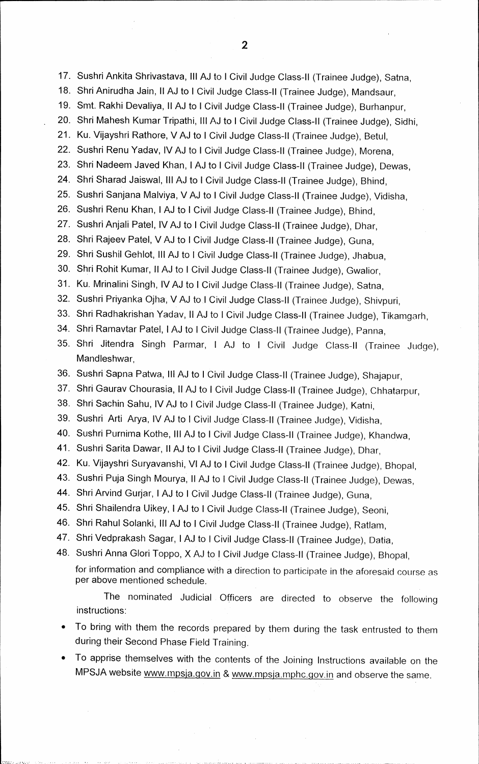17. Sushri Ankita Shrivastava, Ill AJ to I Civil Judge Class-II (Trainee Judge), Satna,

- 18. Shri Anirudha Jain, II AJ to I Civil Judge Class-II (Trainee Judge), Mandsaur,
- 19. Smt. Rakhi Devaliya, II AJ to I Civil Judge Class-II (Trainee Judge), Burhanpur,
- 20. Shri Mahesh Kumar Tripathi, Ill AJ to I Civil Judge Class-II (Trainee Judge), Sidhi,
- 21. Ku. Vijayshri Rathore, V AJ to I Civil Judge Class-II (Trainee Judge), Betul,
- 22. Sushri Renu Yadav, IV AJ to I Civil Judge Class-II (Trainee Judge), Morena,
- 23. Shri Nadeem Javed Khan, I AJ to I Civil Judge Class-II (Trainee Judge), Dewas,
- 24. Shri Sharad Jaiswal, Ill AJ to I Civil Judge Class-II (Trainee Judge), Bhind,
- 25. Sushri Sanjana Malviya, V AJ to I Civil Judge Class-II (Trainee Judge), Vidisha,
- 26. Sushri Renu Khan, I AJ to I Civil Judge Class-II (Trainee Judge), Bhind,
- 27. Sushri Anjali Patel, IV AJ to I Civil Judge Class-II (Trainee Judge), Dhar,
- 28. Shri Rajeev Patel, V AJ to I Civil Judge Class-II (Trainee Judge), Guna,
- 29. Shri Sushil Gehlot, III AJ to I Civil Judge Class-II (Trainee Judge), Jhabua,
- 30. Shri Rohit Kumar, II AJ to I Civil Judge Class-II (Trainee Judge), Gwalior,
- 31. Ku. Mrinalini Singh, IV AJ to I Civil Judge Class-II (Trainee Judge), Satna,
- 32. Sushri Priyanka Ojha, V AJ to I Civil Judge Class-II (Trainee Judge), Shivpuri,
- 33. Shri Radhakrishan Yadav, II AJ to I Civil Judge Class-II (Trainee Judge), Tikamgarh,
- 34. Shri Ramavtar Patel, I AJ to I Civil Judge Class-II (Trainee Judge), Panna,
- 35. Shri Jitendra Singh Parmar, I AJ to I Civil Judge Class-II (Trainee Judge), Mandleshwar.
- 36. Sushri Sapna Patwa, III AJ to I Civil Judge Class-II (Trainee Judge), Shajapur,
- 37. Shri Gaurav Chourasia, II AJ to I Civil Judge Class-II (Trainee Judge), Chhatarpur,
- 38. Shri Sachin Sahu, IV AJ to I Civil Judge Class-II (Trainee Judge), Katni,
- 39. Sushri Arti Arya, IV AJ to I Civil Judge Class-II (Trainee Judge), Vidisha,
- 40. Sushri Purnima Kothe, III AJ to I Civil Judge Class-II (Trainee Judge), Khandwa,
- 41. Sushri Santa Dawar, II AJ to I Civil Judge Class-II (Trainee Judge), Dhar,
- 42. Ku. Vijayshri Suryavanshi, VI AJ to I Civil Judge Class-II (Trainee Judge), Bhopal,
- 43. Sushri Puja Singh Mourya, II AJ to I Civil Judge Class-II (Trainee Judge), Dewas,
- 44. Shri Arvind Gurjar, I AJ to I Civil Judge Class-II (Trainee Judge), Guna,
- 45. Shri Shailendra Uikey, I AJ to I Civil Judge Class-II (Trainee Judge), Seoni,
- 46. Shri Rahul Solanki, III AJ to I Civil Judge Class-II (Trainee Judge), Ratlam,
- 47. Shri Vedprakash Sagar, I AJ to I Civil Judge Class-II (Trainee Judge), Datia,
- 48. Sushri Anna Glori Toppo, X AJ to I Civil Judge Class-II (Trainee Judge), Bhopal, for information and compliance with a direction to participate in the aforesaid course as per above mentioned schedule.

The nominated Judicial Officers are directed to observe the following instructions:

- To bring with them the records prepared by them during the task entrusted to them during their Second Phase Field Training.
- To apprise themselves with the contents of the Joining Instructions available on the MPSJA website www.mpsja.gov.in & www.mpsja.mphc.gov.in and observe the same.